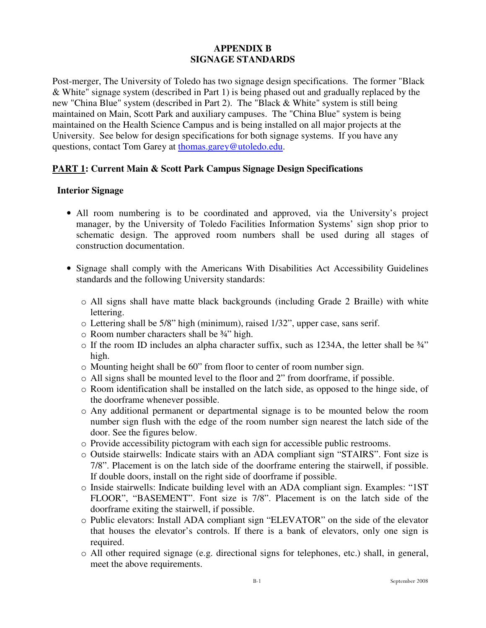## **APPENDIX B SIGNAGE STANDARDS**

Post-merger, The University of Toledo has two signage design specifications. The former "Black & White" signage system (described in Part 1) is being phased out and gradually replaced by the new "China Blue" system (described in Part 2). The "Black & White" system is still being maintained on Main, Scott Park and auxiliary campuses. The "China Blue" system is being maintained on the Health Science Campus and is being installed on all major projects at the University. See below for design specifications for both signage systems. If you have any questions, contact Tom Garey at thomas.garey@utoledo.edu.

### **PART 1: Current Main & Scott Park Campus Signage Design Specifications**

#### **Interior Signage**

- All room numbering is to be coordinated and approved, via the University's project manager, by the University of Toledo Facilities Information Systems' sign shop prior to schematic design. The approved room numbers shall be used during all stages of construction documentation.
- Signage shall comply with the Americans With Disabilities Act Accessibility Guidelines standards and the following University standards:
	- o All signs shall have matte black backgrounds (including Grade 2 Braille) with white lettering.
	- o Lettering shall be 5/8" high (minimum), raised 1/32", upper case, sans serif.
	- o Room number characters shall be ¾" high.
	- $\circ$  If the room ID includes an alpha character suffix, such as 1234A, the letter shall be  $\frac{3}{4}$ " high.
	- o Mounting height shall be 60" from floor to center of room number sign.
	- $\circ$  All signs shall be mounted level to the floor and 2" from doorframe, if possible.
	- o Room identification shall be installed on the latch side, as opposed to the hinge side, of the doorframe whenever possible.
	- o Any additional permanent or departmental signage is to be mounted below the room number sign flush with the edge of the room number sign nearest the latch side of the door. See the figures below.
	- o Provide accessibility pictogram with each sign for accessible public restrooms.
	- o Outside stairwells: Indicate stairs with an ADA compliant sign "STAIRS". Font size is 7/8". Placement is on the latch side of the doorframe entering the stairwell, if possible. If double doors, install on the right side of doorframe if possible.
	- o Inside stairwells: Indicate building level with an ADA compliant sign. Examples: "1ST FLOOR", "BASEMENT". Font size is 7/8". Placement is on the latch side of the doorframe exiting the stairwell, if possible.
	- o Public elevators: Install ADA compliant sign "ELEVATOR" on the side of the elevator that houses the elevator's controls. If there is a bank of elevators, only one sign is required.
	- o All other required signage (e.g. directional signs for telephones, etc.) shall, in general, meet the above requirements.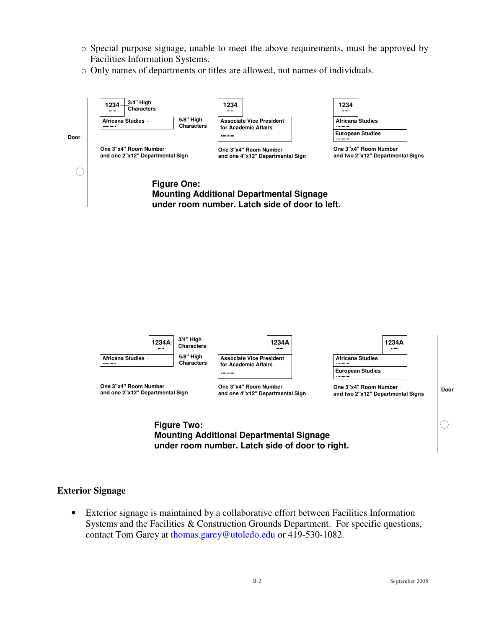- o Special purpose signage, unable to meet the above requirements, must be approved by Facilities Information Systems.
- o Only names of departments or titles are allowed, not names of individuals.



**Mounting Additional Departmental Signage under room number. Latch side of door to right.**

#### **Exterior Signage**

• Exterior signage is maintained by a collaborative effort between Facilities Information Systems and the Facilities & Construction Grounds Department. For specific questions, contact Tom Garey at thomas.garey@utoledo.edu or 419-530-1082.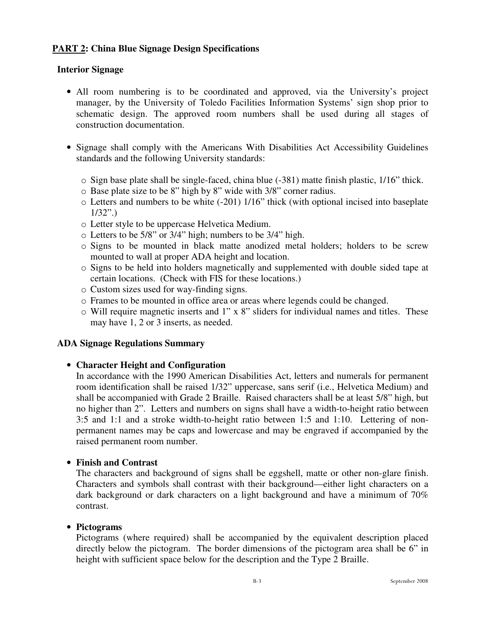# **PART 2: China Blue Signage Design Specifications**

## **Interior Signage**

- All room numbering is to be coordinated and approved, via the University's project manager, by the University of Toledo Facilities Information Systems' sign shop prior to schematic design. The approved room numbers shall be used during all stages of construction documentation.
- Signage shall comply with the Americans With Disabilities Act Accessibility Guidelines standards and the following University standards:
	- $\circ$  Sign base plate shall be single-faced, china blue (-381) matte finish plastic, 1/16" thick.
	- o Base plate size to be 8" high by 8" wide with 3/8" corner radius.
	- o Letters and numbers to be white (-201) 1/16" thick (with optional incised into baseplate  $1/32$ ".)
	- o Letter style to be uppercase Helvetica Medium.
	- o Letters to be 5/8" or 3/4" high; numbers to be 3/4" high.
	- o Signs to be mounted in black matte anodized metal holders; holders to be screw mounted to wall at proper ADA height and location.
	- o Signs to be held into holders magnetically and supplemented with double sided tape at certain locations. (Check with FIS for these locations.)
	- o Custom sizes used for way-finding signs.
	- o Frames to be mounted in office area or areas where legends could be changed.
	- o Will require magnetic inserts and 1" x 8" sliders for individual names and titles. These may have 1, 2 or 3 inserts, as needed.

# **ADA Signage Regulations Summary**

# • **Character Height and Configuration**

In accordance with the 1990 American Disabilities Act, letters and numerals for permanent room identification shall be raised 1/32" uppercase, sans serif (i.e., Helvetica Medium) and shall be accompanied with Grade 2 Braille. Raised characters shall be at least 5/8" high, but no higher than 2". Letters and numbers on signs shall have a width-to-height ratio between 3:5 and 1:1 and a stroke width-to-height ratio between 1:5 and 1:10. Lettering of nonpermanent names may be caps and lowercase and may be engraved if accompanied by the raised permanent room number.

# • **Finish and Contrast**

The characters and background of signs shall be eggshell, matte or other non-glare finish. Characters and symbols shall contrast with their background—either light characters on a dark background or dark characters on a light background and have a minimum of 70% contrast.

### • **Pictograms**

Pictograms (where required) shall be accompanied by the equivalent description placed directly below the pictogram. The border dimensions of the pictogram area shall be 6" in height with sufficient space below for the description and the Type 2 Braille.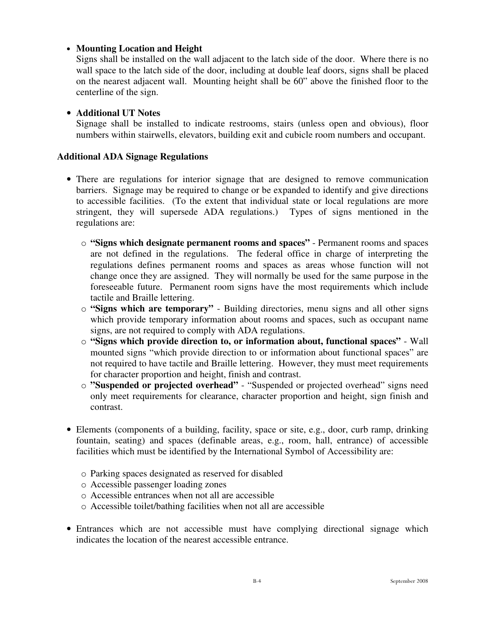## • **Mounting Location and Height**

Signs shall be installed on the wall adjacent to the latch side of the door. Where there is no wall space to the latch side of the door, including at double leaf doors, signs shall be placed on the nearest adjacent wall. Mounting height shall be 60" above the finished floor to the centerline of the sign.

### • **Additional UT Notes**

Signage shall be installed to indicate restrooms, stairs (unless open and obvious), floor numbers within stairwells, elevators, building exit and cubicle room numbers and occupant.

### **Additional ADA Signage Regulations**

- There are regulations for interior signage that are designed to remove communication barriers. Signage may be required to change or be expanded to identify and give directions to accessible facilities. (To the extent that individual state or local regulations are more stringent, they will supersede ADA regulations.) Types of signs mentioned in the regulations are:
	- o **"Signs which designate permanent rooms and spaces"** Permanent rooms and spaces are not defined in the regulations. The federal office in charge of interpreting the regulations defines permanent rooms and spaces as areas whose function will not change once they are assigned. They will normally be used for the same purpose in the foreseeable future. Permanent room signs have the most requirements which include tactile and Braille lettering.
	- o **"Signs which are temporary"** Building directories, menu signs and all other signs which provide temporary information about rooms and spaces, such as occupant name signs, are not required to comply with ADA regulations.
	- o **"Signs which provide direction to, or information about, functional spaces"** Wall mounted signs "which provide direction to or information about functional spaces" are not required to have tactile and Braille lettering. However, they must meet requirements for character proportion and height, finish and contrast.
	- o **"Suspended or projected overhead"** "Suspended or projected overhead" signs need only meet requirements for clearance, character proportion and height, sign finish and contrast.
- Elements (components of a building, facility, space or site, e.g., door, curb ramp, drinking fountain, seating) and spaces (definable areas, e.g., room, hall, entrance) of accessible facilities which must be identified by the International Symbol of Accessibility are:
	- o Parking spaces designated as reserved for disabled
	- o Accessible passenger loading zones
	- o Accessible entrances when not all are accessible
	- o Accessible toilet/bathing facilities when not all are accessible
- Entrances which are not accessible must have complying directional signage which indicates the location of the nearest accessible entrance.